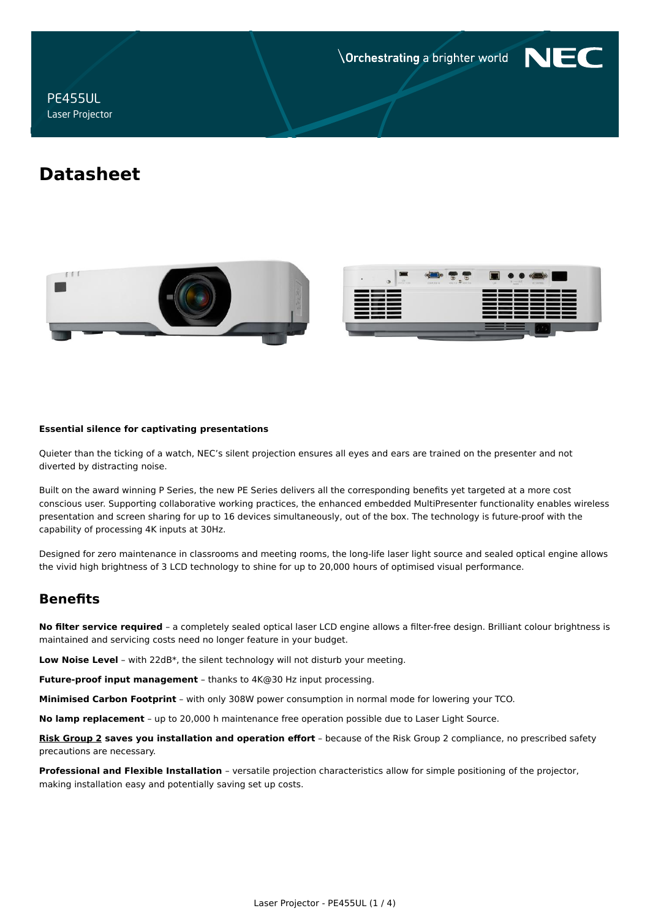**Orchestrating a brighter world** 



PE455UL Laser Projector

# **Datasheet**



#### **Essential silence for captivating presentations**

Quieter than the ticking of a watch, NEC's silent projection ensures all eyes and ears are trained on the presenter and not diverted by distracting noise.

Built on the award winning P Series, the new PE Series delivers all the corresponding benefits yet targeted at a more cost conscious user. Supporting collaborative working practices, the enhanced embedded MultiPresenter functionality enables wireless presentation and screen sharing for up to 16 devices simultaneously, out of the box. The technology is future-proof with the capability of processing 4K inputs at 30Hz.

Designed for zero maintenance in classrooms and meeting rooms, the long-life laser light source and sealed optical engine allows the vivid high brightness of 3 LCD technology to shine for up to 20,000 hours of optimised visual performance.

# **Benefits**

**No filter service required** – a completely sealed optical laser LCD engine allows a filter-free design. Brilliant colour brightness is maintained and servicing costs need no longer feature in your budget.

**Low Noise Level** – with 22dB\*, the silent technology will not disturb your meeting.

**Future-proof input management** – thanks to 4K@30 Hz input processing.

**Minimised Carbon Footprint** – with only 308W power consumption in normal mode for lowering your TCO.

**No lamp replacement** – up to 20,000 h maintenance free operation possible due to Laser Light Source.

**[Risk Group 2](https://www.nec-display-solutions.com/p/download/cp/Products/Shared/KeyBenefit-Downloads/Projectors/NEC_Laser_Risk_Group_Sept2017_Web.pdf) saves you installation and operation effort** – because of the Risk Group 2 compliance, no prescribed safety precautions are necessary.

**Professional and Flexible Installation** – versatile projection characteristics allow for simple positioning of the projector, making installation easy and potentially saving set up costs.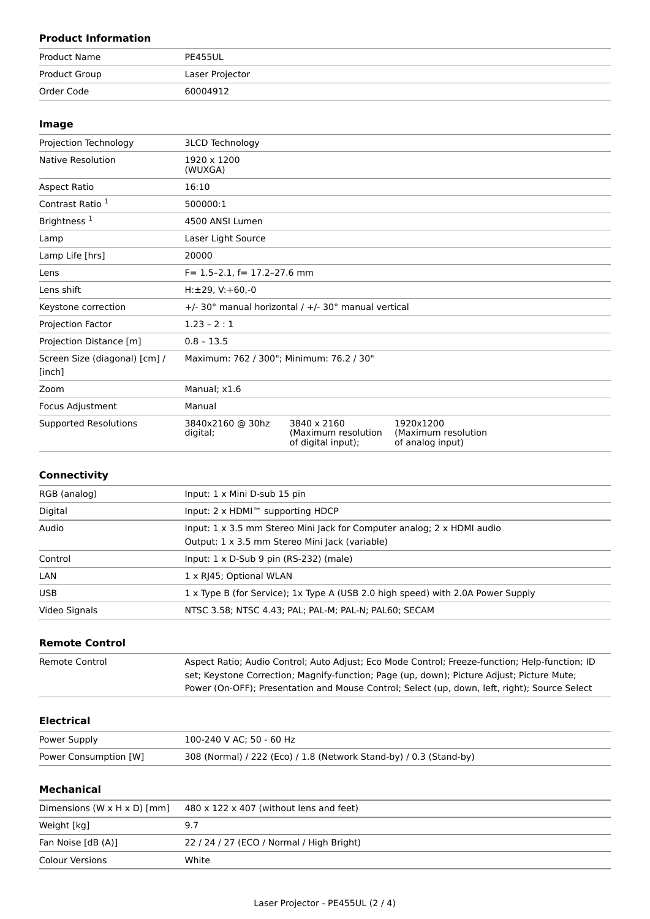## **Product Information**

| Product Name  | PE455UL         |
|---------------|-----------------|
| Product Group | Laser Projector |
| Order Code    | 60004912        |

## **Image**

| Projection Technology                   | <b>3LCD Technology</b>                   |                                                          |                                                       |  |
|-----------------------------------------|------------------------------------------|----------------------------------------------------------|-------------------------------------------------------|--|
| <b>Native Resolution</b>                | 1920 x 1200<br>(WUXGA)                   |                                                          |                                                       |  |
| Aspect Ratio                            | 16:10                                    |                                                          |                                                       |  |
| Contrast Ratio 1                        | 500000:1                                 |                                                          |                                                       |  |
| Brightness <sup>1</sup>                 | 4500 ANSI Lumen                          |                                                          |                                                       |  |
| Lamp                                    | Laser Light Source                       |                                                          |                                                       |  |
| Lamp Life [hrs]                         | 20000                                    |                                                          |                                                       |  |
| Lens                                    | $F = 1.5 - 2.1$ , $f = 17.2 - 27.6$ mm   |                                                          |                                                       |  |
| Lens shift                              | $H: \pm 29$ , V: +60,-0                  |                                                          |                                                       |  |
| Keystone correction                     |                                          | +/- 30° manual horizontal / +/- 30° manual vertical      |                                                       |  |
| Projection Factor                       | $1.23 - 2:1$                             |                                                          |                                                       |  |
| Projection Distance [m]                 | $0.8 - 13.5$                             |                                                          |                                                       |  |
| Screen Size (diagonal) [cm] /<br>[inch] | Maximum: 762 / 300"; Minimum: 76.2 / 30" |                                                          |                                                       |  |
| Zoom                                    | Manual; x1.6                             |                                                          |                                                       |  |
| Focus Adjustment                        | Manual                                   |                                                          |                                                       |  |
| <b>Supported Resolutions</b>            | 3840x2160 @ 30hz<br>digital;             | 3840 x 2160<br>(Maximum resolution<br>of digital input); | 1920×1200<br>(Maximum resolution)<br>of analog input) |  |

## **Connectivity**

| RGB (analog)  | Input: $1 \times$ Mini D-sub $15$ pin                                                                                                  |
|---------------|----------------------------------------------------------------------------------------------------------------------------------------|
| Digital       | Input: 2 x HDMI™ supporting HDCP                                                                                                       |
| Audio         | Input: $1 \times 3.5$ mm Stereo Mini Jack for Computer analog; $2 \times$ HDMI audio<br>Output: 1 x 3.5 mm Stereo Mini Jack (variable) |
| Control       | Input: $1 \times D$ -Sub 9 pin (RS-232) (male)                                                                                         |
| LAN           | 1 x RJ45; Optional WLAN                                                                                                                |
| <b>USB</b>    | 1 x Type B (for Service); 1x Type A (USB 2.0 high speed) with 2.0A Power Supply                                                        |
| Video Signals | NTSC 3.58; NTSC 4.43; PAL; PAL-M; PAL-N; PAL60; SECAM                                                                                  |

## **Remote Control**

| Remote Control | Aspect Ratio; Audio Control; Auto Adjust; Eco Mode Control; Freeze-function; Help-function; ID |
|----------------|------------------------------------------------------------------------------------------------|
|                | set; Keystone Correction; Magnify-function; Page (up, down); Picture Adjust; Picture Mute;     |
|                | Power (On-OFF); Presentation and Mouse Control; Select (up, down, left, right); Source Select  |

## **Electrical**

| Power Supply          | 100-240 V AC; 50 - 60 Hz                                           |
|-----------------------|--------------------------------------------------------------------|
| Power Consumption [W] | 308 (Normal) / 222 (Eco) / 1.8 (Network Stand-by) / 0.3 (Stand-by) |

## **Mechanical**

| Dimensions (W $\times$ H $\times$ D) [mm] | $480 \times 122 \times 407$ (without lens and feet) |
|-------------------------------------------|-----------------------------------------------------|
| Weight [kg]                               | 9.7                                                 |
| Fan Noise [dB (A)]                        | 22 / 24 / 27 (ECO / Normal / High Bright)           |
| Colour Versions                           | White                                               |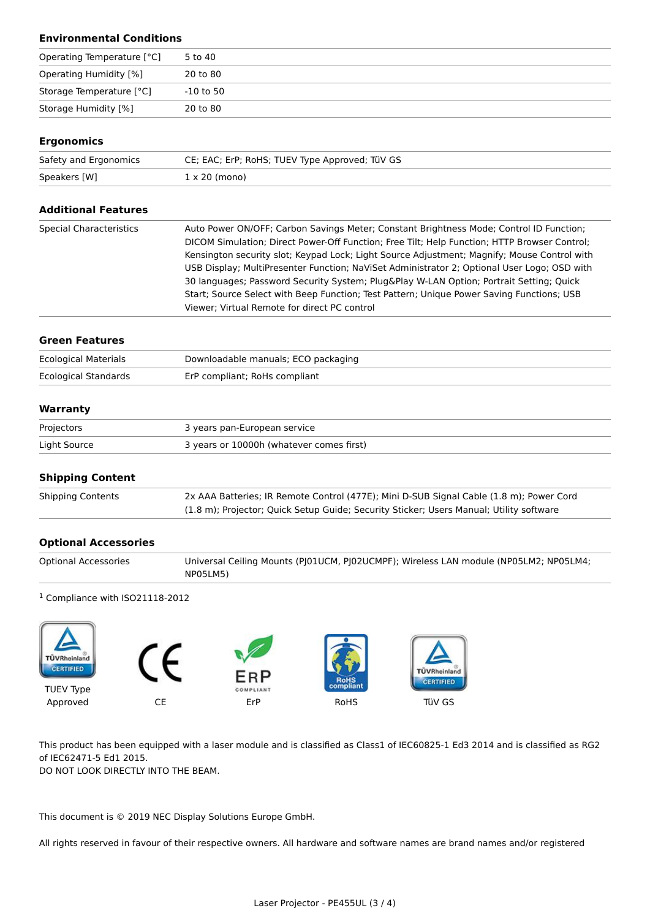## **Environmental Conditions**

| Operating Temperature [°C]    | 5 to 40   |
|-------------------------------|-----------|
| <b>Operating Humidity [%]</b> | 20 to 80  |
| Storage Temperature [°C]      | -10 to 50 |
| Storage Humidity [%]          | 20 to 80  |

### **Ergonomics**

| Safety and Ergonomics | CE; EAC; ErP; RoHS; TUEV Type Approved; TüV GS |
|-----------------------|------------------------------------------------|
| Speakers [W]          | $1 \times 20$ (mono)                           |

| <b>Additional Features</b>     |                                                                                              |
|--------------------------------|----------------------------------------------------------------------------------------------|
| <b>Special Characteristics</b> | Auto Power ON/OFF; Carbon Savings Meter; Constant Brightness Mode; Control ID Function;      |
|                                | DICOM Simulation; Direct Power-Off Function; Free Tilt; Help Function; HTTP Browser Control; |
|                                | Kensington security slot; Keypad Lock; Light Source Adjustment; Magnify; Mouse Control with  |
|                                | USB Display; MultiPresenter Function; NaViSet Administrator 2; Optional User Logo; OSD with  |
|                                | 30 languages; Password Security System; Plug&Play W-LAN Option; Portrait Setting; Quick      |
|                                | Start; Source Select with Beep Function; Test Pattern; Unique Power Saving Functions; USB    |
|                                | Viewer; Virtual Remote for direct PC control                                                 |
|                                |                                                                                              |

#### **Green Features**

| <b>Ecological Materials</b> | Downloadable manuals; ECO packaging |
|-----------------------------|-------------------------------------|
| Ecological Standards        | ErP compliant; RoHs compliant       |

#### **Warranty**

| Projectors   | 3 years pan-European service             |
|--------------|------------------------------------------|
| Light Source | 3 years or 10000h (whatever comes first) |

#### **Shipping Content**

| <b>Shipping Contents</b> | 2x AAA Batteries; IR Remote Control (477E); Mini D-SUB Signal Cable (1.8 m); Power Cord |
|--------------------------|-----------------------------------------------------------------------------------------|
|                          | (1.8 m); Projector; Quick Setup Guide; Security Sticker; Users Manual; Utility software |

## **Optional Accessories**

| <b>Optional Accessories</b> | Universal Ceiling Mounts (PJ01UCM, PJ02UCMPF); Wireless LAN module (NP05LM2; NP05LM4; |
|-----------------------------|---------------------------------------------------------------------------------------|
|                             | NP05LM5)                                                                              |

#### <sup>1</sup> Compliance with ISO21118-2012



This product has been equipped with a laser module and is classified as Class1 of IEC60825-1 Ed3 2014 and is classified as RG2 of IEC62471-5 Ed1 2015.

DO NOT LOOK DIRECTLY INTO THE BEAM.

This document is © 2019 NEC Display Solutions Europe GmbH.

All rights reserved in favour of their respective owners. All hardware and software names are brand names and/or registered